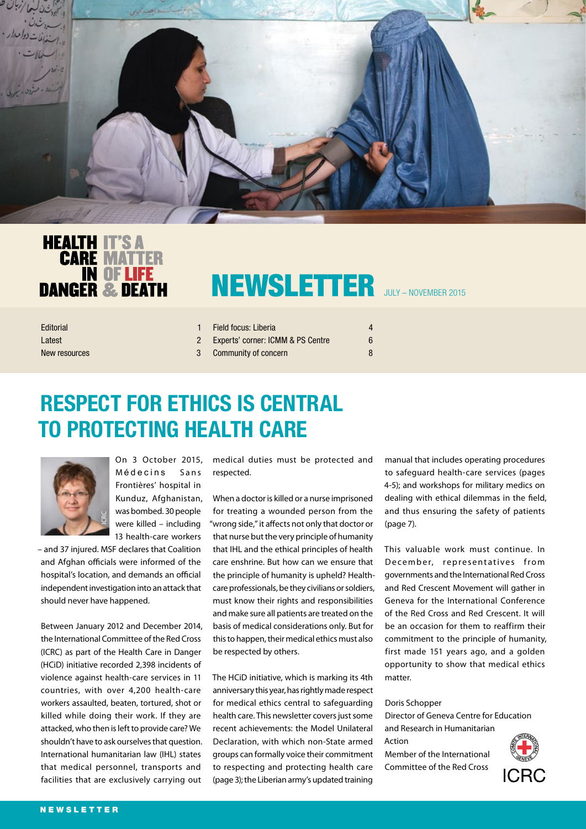



# NEWSLETTER JULY – NOVEMBER 2015

| Editorial     | Field focus: Liberia                | $\overline{a}$ |
|---------------|-------------------------------------|----------------|
| Latest        | 2 Experts' corner: ICMM & PS Centre |                |
| New resources | 3 Community of concern              | 8              |

## **RESPECT FOR ETHICS IS CENTRAL TO PROTECTING HEALTH CARE**



On 3 October 2015, Médecins Sans Frontières' hospital in Kunduz, Afghanistan, was bombed. 30 people were killed – including 13 health-care workers

– and 37 injured. MSF declares that Coalition and Afghan officials were informed of the hospital's location, and demands an official independent investigation into an attack that should never have happened.

Between January 2012 and December 2014, the International Committee of the Red Cross (ICRC) as part of the Health Care in Danger (HCiD) initiative recorded 2,398 incidents of violence against health-care services in 11 countries, with over 4,200 health-care workers assaulted, beaten, tortured, shot or killed while doing their work. If they are attacked, who then is left to provide care? We shouldn't have to ask ourselves that question. International humanitarian law (IHL) states that medical personnel, transports and facilities that are exclusively carrying out

medical duties must be protected and respected.

When a doctor is killed or a nurse imprisoned for treating a wounded person from the "wrong side," it affects not only that doctor or that nurse but the very principle of humanity that IHL and the ethical principles of health care enshrine. But how can we ensure that the principle of humanity is upheld? Healthcare professionals, be they civilians or soldiers, must know their rights and responsibilities and make sure all patients are treated on the basis of medical considerations only. But for this to happen, their medical ethics must also be respected by others.

The HCiD initiative, which is marking its 4th anniversary this year, has rightly made respect for medical ethics central to safeguarding health care. This newsletter covers just some recent achievements: the Model Unilateral Declaration, with which non-State armed groups can formally voice their commitment to respecting and protecting health care (page 3); the Liberian army's updated training

manual that includes operating procedures to safeguard health-care services (pages 4-5); and workshops for military medics on dealing with ethical dilemmas in the field, and thus ensuring the safety of patients (page 7).

This valuable work must continue. In December, representatives from governments and the International Red Cross and Red Crescent Movement will gather in Geneva for the International Conference of the Red Cross and Red Crescent. It will be an occasion for them to reaffirm their commitment to the principle of humanity, first made 151 years ago, and a golden opportunity to show that medical ethics matter.

#### Doris Schopper

Director of Geneva Centre for Education and Research in Humanitarian Action Member of the International Committee of the Red Cross

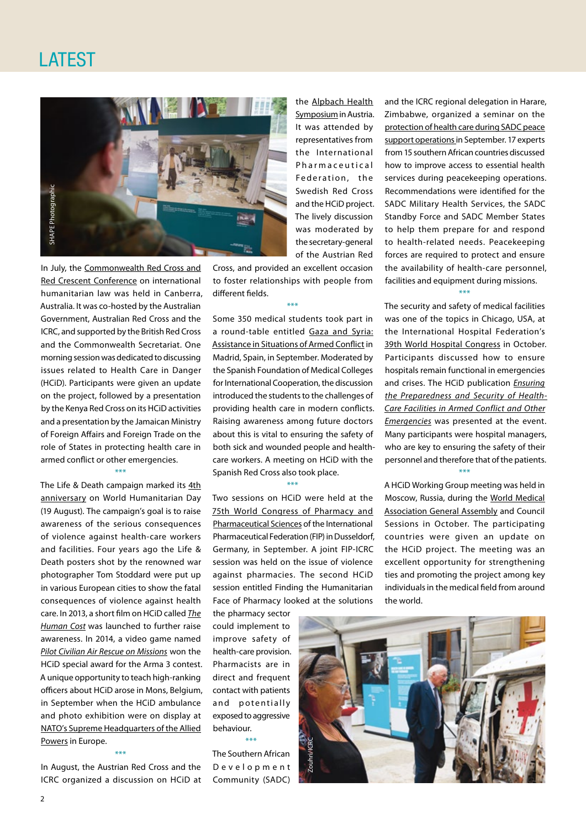

In July, the [Commonwealth Red Cross and](https://www.icrc.org/en/event/australia-4th-commonwealth-red-cross-and-red-crescent-conference-international-humanitarian)  [Red Crescent Conference](https://www.icrc.org/en/event/australia-4th-commonwealth-red-cross-and-red-crescent-conference-international-humanitarian) on international humanitarian law was held in Canberra, Australia. It was co-hosted by the Australian Government, Australian Red Cross and the ICRC, and supported by the British Red Cross and the Commonwealth Secretariat. One morning session was dedicated to discussing issues related to Health Care in Danger (HCiD). Participants were given an update on the project, followed by a presentation by the Kenya Red Cross on its HCiD activities and a presentation by the Jamaican Ministry of Foreign Affairs and Foreign Trade on the role of States in protecting health care in armed conflict or other emergencies.

\*\*\*

The Life & Death campaign marked its 4th [anniversary](https://www.icrc.org/en/document/protecting-health-care-4-years) on World Humanitarian Day (19 August). The campaign's goal is to raise awareness of the serious consequences of violence against health-care workers and facilities. Four years ago the Life & Death posters shot by the renowned war photographer Tom Stoddard were put up in various European cities to show the fatal consequences of violence against health care. In 2013, a short film on HCiD called *[The](https://www.youtube.com/watch?v=Cr3eknFzhWs)  [Human Cost](https://www.youtube.com/watch?v=Cr3eknFzhWs)* was launched to further raise awareness. In 2014, a video game named *[Pilot Civilian Air Rescue on Missions](https://www.icrc.org/en/document/civilian-air-rescue-operation-wins-health-care-danger-special-award-arma3-contest)* won the HCiD special award for the Arma 3 contest. A unique opportunity to teach high-ranking officers about HCiD arose in Mons, Belgium, in September when the HCiD ambulance and photo exhibition were on display at [NATO's Supreme Headquarters of the Allied](https://www.icrc.org/en/document/health-care-danger-exhibition-shape-nato)  [Powers](https://www.icrc.org/en/document/health-care-danger-exhibition-shape-nato) in Europe.

\*\*\* In August, the Austrian Red Cross and the ICRC organized a discussion on HCiD at

the [Alpbach Health](http://www.alpbach.org/en/session/partner-session-03-gesundheitsversorgung-in-gefahr-schluss-mit-gewalt-gegen-helferinnen/)  [Symposium](http://www.alpbach.org/en/session/partner-session-03-gesundheitsversorgung-in-gefahr-schluss-mit-gewalt-gegen-helferinnen/) in Austria. It was attended by representatives from the International Pharmaceutical Federation, the Swedish Red Cross and the HCiD project. The lively discussion was moderated by the secretary-general of the Austrian Red

Cross, and provided an excellent occasion to foster relationships with people from different fields.

\*\*\*

Some 350 medical students took part in a round-table entitled [Gaza and Syria:](http://www.congresoeducacionmedica.es/home/congreso/mesas/) [Assistance in Situations of Armed Conflict i](http://www.congresoeducacionmedica.es/home/congreso/mesas/)n Madrid, Spain, in September. Moderated by the Spanish Foundation of Medical Colleges for International Cooperation, the discussion introduced the students to the challenges of providing health care in modern conflicts. Raising awareness among future doctors about this is vital to ensuring the safety of both sick and wounded people and healthcare workers. A meeting on HCiD with the

\*\*\*

Spanish Red Cross also took place.

Two sessions on HCiD were held at the [75th World Congress of Pharmacy and](http://dusseldorf.fip.org/)  [Pharmaceutical Sciences](http://dusseldorf.fip.org/) of the International Pharmaceutical Federation (FIP) in Dusseldorf, Germany, in September. A joint FIP-ICRC session was held on the issue of violence against pharmacies. The second HCiD session entitled Finding the Humanitarian Face of Pharmacy looked at the solutions

the pharmacy sector could implement to improve safety of health-care provision. Pharmacists are in direct and frequent contact with patients and potentially exposed to aggressive behaviour. \*\*\*

The Southern African D e v e l o p m e n t Community (SADC)

and the ICRC regional delegation in Harare, Zimbabwe, organized a seminar on the [protection of health care during SADC peace](https://www.icrc.org/en/document/zimbabwe-protecting-health-care-during-sadc-peace-support-operations)  [support operations](https://www.icrc.org/en/document/zimbabwe-protecting-health-care-during-sadc-peace-support-operations) in September. 17 experts from 15 southern African countries discussed how to improve access to essential health services during peacekeeping operations. Recommendations were identified for the SADC Military Health Services, the SADC Standby Force and SADC Member States to help them prepare for and respond to health-related needs. Peacekeeping forces are required to protect and ensure the availability of health-care personnel, facilities and equipment during missions.

The security and safety of medical facilities was one of the topics in Chicago, USA, at the International Hospital Federation's [39th World Hospital Congress](http://www.worldhospitalcongress.org/en/) in October. Participants discussed how to ensure hospitals remain functional in emergencies and crises. The HCiD publication *[Ensuring](https://www.icrc.org/eng/resources/documents/publication/p4239.htm)  [the Preparedness and Security of Health-](https://www.icrc.org/eng/resources/documents/publication/p4239.htm)[Care Facilities in Armed Conflict and Other](https://www.icrc.org/eng/resources/documents/publication/p4239.htm) Emergencies* was presented at the event. Many participants were hospital managers, who are key to ensuring the safety of their personnel and therefore that of the patients. \*\*\*

\*\*\*

A HCiD Working Group meeting was held in Moscow, Russia, during the [World Medical](http://www.wma.net/en/40news/20archives/2015/2015_38/index.html)  [Association General Assembly](http://www.wma.net/en/40news/20archives/2015/2015_38/index.html) and Council Sessions in October. The participating countries were given an update on the HCiD project. The meeting was an excellent opportunity for strengthening ties and promoting the project among key individuals in the medical field from around the world.

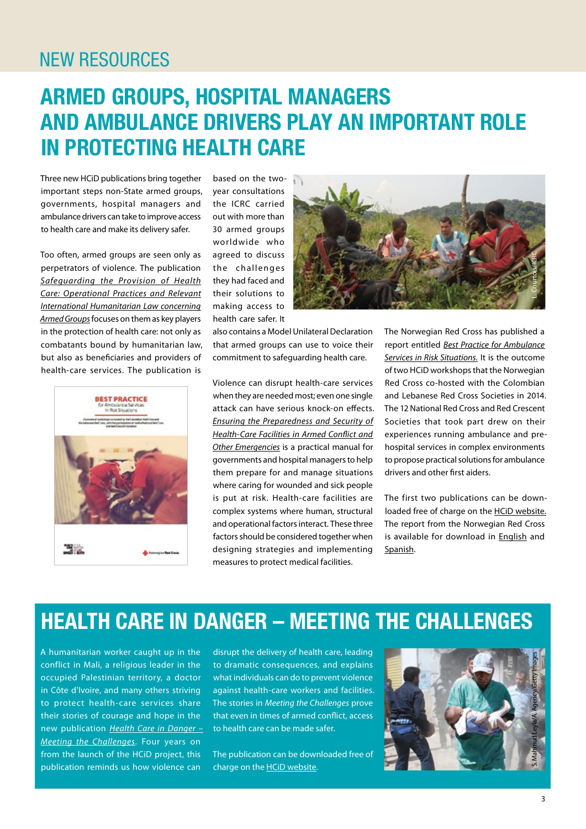### **NEW RESOURCES**

## **ARMED GROUPS, HOSPITAL MANAGERS AND AMBULANCE DRIVERS PLAY AN IMPORTANT ROLE IN PROTECTING HEALTH CARE**

Three new HCiD publications bring together important steps non-State armed groups, governments, hospital managers and ambulance drivers can take to improve access to health care and make its delivery safer.

Too often, armed groups are seen only as perpetrators of violence. The publication *[Safeguarding the Provision of Health](https://www.icrc.org/en/document/engaging-dialogue-non-state-armed-groups-protect-health-care)  [Care: Operational Practices and Relevant](https://www.icrc.org/en/document/engaging-dialogue-non-state-armed-groups-protect-health-care)  [International Humanitarian Law concerning](https://www.icrc.org/en/document/engaging-dialogue-non-state-armed-groups-protect-health-care)  [Armed Groups](https://www.icrc.org/en/document/engaging-dialogue-non-state-armed-groups-protect-health-care)* focuses on them as key players in the protection of health care: not only as combatants bound by humanitarian law, but also as beneficiaries and providers of health-care services. The publication is



based on the twoyear consultations the ICRC carried out with more than 30 armed groups worldwide who agreed to discuss the challenges they had faced and their solutions to making access to health care safer. It

also contains a Model Unilateral Declaration that armed groups can use to voice their commitment to safeguarding health care.

L. Courtois/ICRC

Violence can disrupt health-care services when they are needed most; even one single attack can have serious knock-on effects. *[Ensuring the Preparedness and Security of](https://shop.icrc.org/health-care-in-danger/ensuring-the-preparedness-and-security-of-health-care-facilities-in-armed-conflict-and-others-emergencies.html) [Health-Care Facilities in Armed Conflict and](https://shop.icrc.org/health-care-in-danger/ensuring-the-preparedness-and-security-of-health-care-facilities-in-armed-conflict-and-others-emergencies.html)  [Other Emergencies](https://shop.icrc.org/health-care-in-danger/ensuring-the-preparedness-and-security-of-health-care-facilities-in-armed-conflict-and-others-emergencies.html)* is a practical manual for governments and hospital managers to help them prepare for and manage situations where caring for wounded and sick people is put at risk. Health-care facilities are complex systems where human, structural and operational factors interact. These three factors should be considered together when designing strategies and implementing measures to protect medical facilities.

The Norwegian Red Cross has published a report entitled *[Best Practice for Ambulance](https://www.icrc.org/en/document/best-practices-ambulance-services-excellent-health-care-patients)  [Services in Risk Situations.](https://www.icrc.org/en/document/best-practices-ambulance-services-excellent-health-care-patients)* It is the outcome of two HCiD workshops that the Norwegian Red Cross co-hosted with the Colombian and Lebanese Red Cross Societies in 2014. The 12 National Red Cross and Red Crescent Societies that took part drew on their experiences running ambulance and prehospital services in complex environments to propose practical solutions for ambulance drivers and other first aiders.

The first two publications can be downloaded free of charge on the [HCiD website](https://www.icrc.org/eng/what-we-do/safeguarding-health-care/index.jsp). The report from the Norwegian Red Cross is available for download in [English](https://www.rodekors.no/Global/HK%20-%20Hovedkontoret/Internasjonal/Dokumenter/Helse/Ambulance_best_practice_report_English.pdf) and [Spanish.](https://www.rodekors.no/Global/HK%20-%20Hovedkontoret/Internasjonal/Dokumenter/Helse/Ambulance_best_practice_report_Spanish.pdf)

### **HEALTH CARE IN DANGER – MEETING THE CHALLENGES**

A humanitarian worker caught up in the conflict in Mali, a religious leader in the occupied Palestinian territory, a doctor in Côte d'Ivoire, and many others striving to protect health-care services share their stories of courage and hope in the new publication *[Health Care in Danger –](https://www.icrc.org/en/document/health-care-danger-meeting-challenge) [Meeting the Challenges](https://www.icrc.org/en/document/health-care-danger-meeting-challenge)*. Four years on from the launch of the HCiD project, this publication reminds us how violence can

disrupt the delivery of health care, leading to dramatic consequences, and explains what individuals can do to prevent violence against health-care workers and facilities. The stories in *Meeting the Challenges* prove that even in times of armed conflict, access to health care can be made safer.

The publication can be downloaded free of charge on the **HCiD** website.

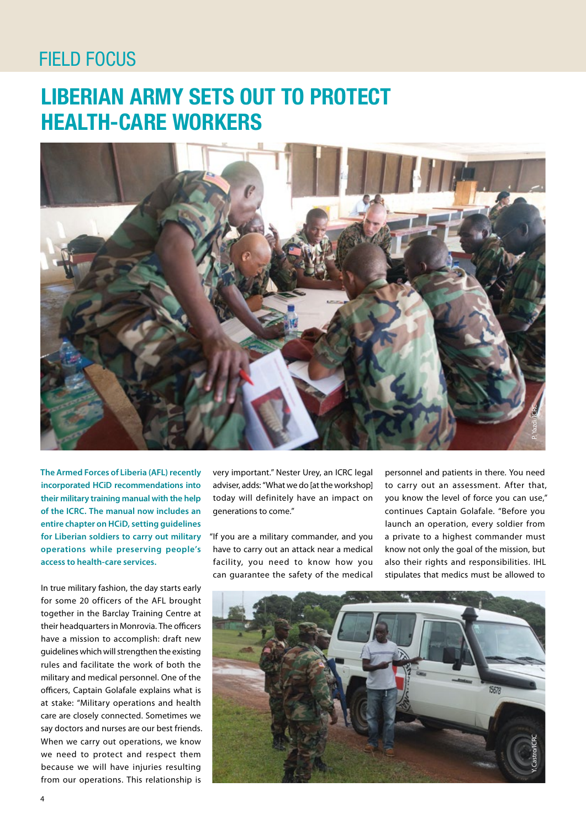### **FIELD FOCUS**

## **LIBERIAN ARMY SETS OUT TO PROTECT HEALTH-CARE WORKERS**



**The Armed Forces of Liberia (AFL) recently incorporated HCiD recommendations into their military training manual with the help of the ICRC. The manual now includes an entire chapter on HCiD, setting guidelines for Liberian soldiers to carry out military operations while preserving people's access to health-care services.**

In true military fashion, the day starts early for some 20 officers of the AFL brought together in the Barclay Training Centre at their headquarters in Monrovia. The officers have a mission to accomplish: draft new guidelines which will strengthen the existing rules and facilitate the work of both the military and medical personnel. One of the officers, Captain Golafale explains what is at stake: "Military operations and health care are closely connected. Sometimes we say doctors and nurses are our best friends. When we carry out operations, we know we need to protect and respect them because we will have injuries resulting from our operations. This relationship is

very important." Nester Urey, an ICRC legal adviser, adds: "What we do [at the workshop] today will definitely have an impact on generations to come."

"If you are a military commander, and you have to carry out an attack near a medical facility, you need to know how you can guarantee the safety of the medical

personnel and patients in there. You need to carry out an assessment. After that, you know the level of force you can use," continues Captain Golafale. "Before you launch an operation, every soldier from a private to a highest commander must know not only the goal of the mission, but also their rights and responsibilities. IHL stipulates that medics must be allowed to

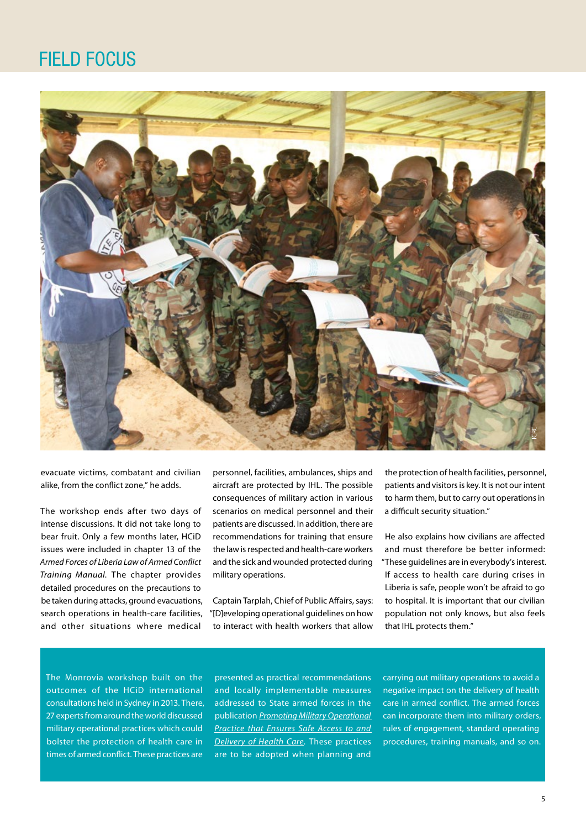### FIELD FOCUS



evacuate victims, combatant and civilian alike, from the conflict zone," he adds.

The workshop ends after two days of intense discussions. It did not take long to bear fruit. Only a few months later, HCiD issues were included in chapter 13 of the *Armed Forces of Liberia Law of Armed Conflict Training Manual.* The chapter provides detailed procedures on the precautions to be taken during attacks, ground evacuations, search operations in health-care facilities, and other situations where medical

personnel, facilities, ambulances, ships and aircraft are protected by IHL. The possible consequences of military action in various scenarios on medical personnel and their patients are discussed. In addition, there are recommendations for training that ensure the law is respected and health-care workers and the sick and wounded protected during military operations.

Captain Tarplah, Chief of Public Affairs, says: "[D]eveloping operational guidelines on how to interact with health workers that allow

the protection of health facilities, personnel, patients and visitors is key. It is not our intent to harm them, but to carry out operations in a difficult security situation."

He also explains how civilians are affected and must therefore be better informed: "These guidelines are in everybody's interest. If access to health care during crises in Liberia is safe, people won't be afraid to go to hospital. It is important that our civilian population not only knows, but also feels that IHL protects them."

The Monrovia workshop built on the outcomes of the HCiD international consultations held in Sydney in 2013. There, 27 experts from around the world discussed military operational practices which could bolster the protection of health care in times of armed conflict. These practices are

presented as practical recommendations and locally implementable measures addressed to State armed forces in the publication *[Promoting Military Operational](https://www.icrc.org/eng/resources/documents/publication/p4208.htm)  [Practice that Ensures Safe Access to and](https://www.icrc.org/eng/resources/documents/publication/p4208.htm)  [Delivery of Health Care](https://www.icrc.org/eng/resources/documents/publication/p4208.htm)*. These practices are to be adopted when planning and

carrying out military operations to avoid a negative impact on the delivery of health care in armed conflict. The armed forces can incorporate them into military orders, rules of engagement, standard operating procedures, training manuals, and so on.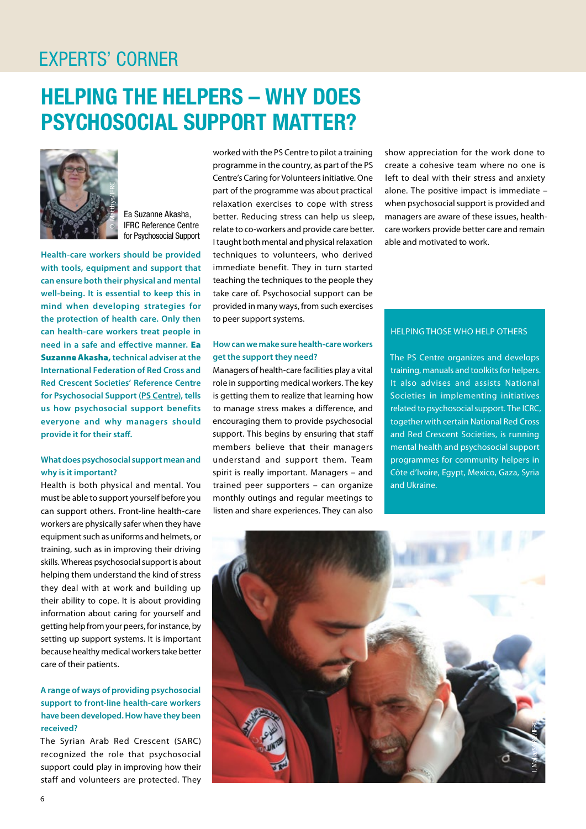### EXPERTS' CORNER

## **HELPING THE HELPERS – WHY DOES PSYCHOSOCIAL SUPPORT MATTER?**



Ea Suzanne Akasha, IFRC Reference Centre for Psychosocial Support

**Health-care workers should be provided with tools, equipment and support that can ensure both their physical and mental well-being. It is essential to keep this in mind when developing strategies for the protection of health care. Only then can health-care workers treat people in need in a safe and effective manner.** Ea Suzanne Akasha, **technical adviser at the International Federation of Red Cross and Red Crescent Societies' Reference Centre for Psychosocial Support ([PS Centre](https://www.ifrc.org/fr/introduction/health-activities/psychosocial-support/reference-centre-for-psychosocial-support/)), tells us how psychosocial support benefits everyone and why managers should provide it for their staff.**

#### **What does psychosocial support mean and why is it important?**

Health is both physical and mental. You must be able to support yourself before you can support others. Front-line health-care workers are physically safer when they have equipment such as uniforms and helmets, or training, such as in improving their driving skills. Whereas psychosocial support is about helping them understand the kind of stress they deal with at work and building up their ability to cope. It is about providing information about caring for yourself and getting help from your peers, for instance, by setting up support systems. It is important because healthy medical workers take better care of their patients.

#### **A range of ways of providing psychosocial support to front-line health-care workers have been developed. How have they been received?**

The Syrian Arab Red Crescent (SARC) recognized the role that psychosocial support could play in improving how their staff and volunteers are protected. They worked with the PS Centre to pilot a training programme in the country, as part of the PS Centre's Caring for Volunteers initiative. One part of the programme was about practical relaxation exercises to cope with stress better. Reducing stress can help us sleep, relate to co-workers and provide care better. I taught both mental and physical relaxation techniques to volunteers, who derived immediate benefit. They in turn started teaching the techniques to the people they take care of. Psychosocial support can be provided in many ways, from such exercises to peer support systems.

#### **How can we make sure health-care workers get the support they need?**

Managers of health-care facilities play a vital role in supporting medical workers. The key is getting them to realize that learning how to manage stress makes a difference, and encouraging them to provide psychosocial support. This begins by ensuring that staff members believe that their managers understand and support them. Team spirit is really important. Managers – and trained peer supporters – can organize monthly outings and regular meetings to listen and share experiences. They can also show appreciation for the work done to create a cohesive team where no one is left to deal with their stress and anxiety alone. The positive impact is immediate – when psychosocial support is provided and managers are aware of these issues, healthcare workers provide better care and remain able and motivated to work.

#### HELPING THOSE WHO HELP OTHERS

The PS Centre organizes and develops training, manuals and toolkits for helpers. It also advises and assists National Societies in implementing initiatives related to psychosocial support. The ICRC, together with certain National Red Cross and Red Crescent Societies, is running mental health and psychosocial support programmes for community helpers in Côte d'Ivoire, Egypt, Mexico, Gaza, Syria and Ukraine.

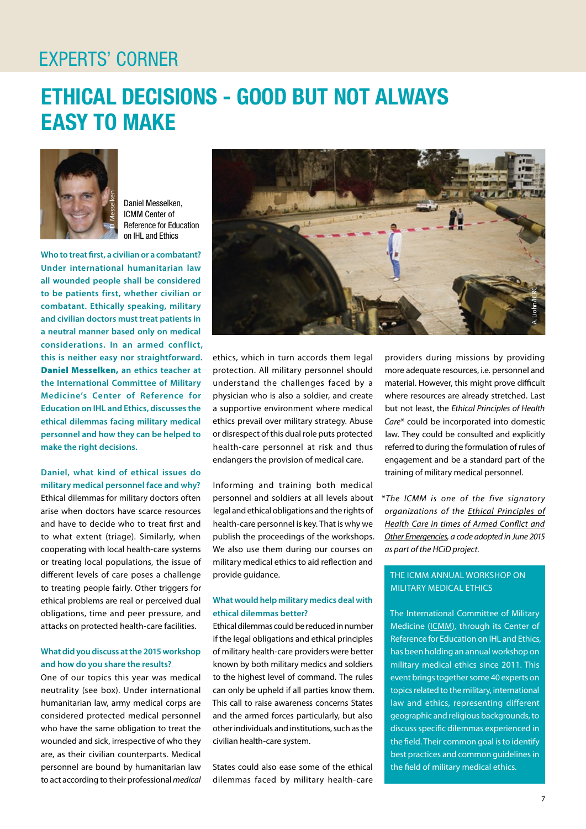### EXPERTS' CORNER

### **ETHICAL DECISIONS - GOOD BUT NOT ALWAYS EASY TO MAKE**



Daniel Messelken, ICMM Center of Reference for Education on IHL and Ethics

**Who to treat first, a civilian or a combatant? Under international humanitarian law all wounded people shall be considered to be patients first, whether civilian or combatant. Ethically speaking, military and civilian doctors must treat patients in a neutral manner based only on medical considerations. In an armed conflict, this is neither easy nor straightforward.**  Daniel Messelken, **an ethics teacher at the International Committee of Military Medicine's Center of Reference for Education on IHL and Ethics, discusses the ethical dilemmas facing military medical personnel and how they can be helped to make the right decisions.**

#### **Daniel, what kind of ethical issues do military medical personnel face and why?**

Ethical dilemmas for military doctors often arise when doctors have scarce resources and have to decide who to treat first and to what extent (triage). Similarly, when cooperating with local health-care systems or treating local populations, the issue of different levels of care poses a challenge to treating people fairly. Other triggers for ethical problems are real or perceived dual obligations, time and peer pressure, and attacks on protected health-care facilities.

#### **What did you discuss at the 2015 workshop and how do you share the results?**

One of our topics this year was medical neutrality (see box). Under international humanitarian law, army medical corps are considered protected medical personnel who have the same obligation to treat the wounded and sick, irrespective of who they are, as their civilian counterparts. Medical personnel are bound by humanitarian law to act according to their professional *medical* 



ethics, which in turn accords them legal protection. All military personnel should understand the challenges faced by a physician who is also a soldier, and create a supportive environment where medical ethics prevail over military strategy. Abuse or disrespect of this dual role puts protected health-care personnel at risk and thus endangers the provision of medical care.

Informing and training both medical personnel and soldiers at all levels about legal andethical obligations and the rights of health-care personnel is key. That is why we publish the proceedings of the workshops. We also use them during our courses on military medical ethics to aid reflection and provide guidance.

#### **What would help military medics deal with ethical dilemmas better?**

Ethical dilemmas could be reduced in number if the legal obligations and ethical principles of military health-care providers were better known by both military medics and soldiers to the highest level of command. The rules can only be upheld if all parties know them. This call to raise awareness concerns States and the armed forces particularly, but also other individuals and institutions, such as the civilian health-care system.

States could also ease some of the ethical dilemmas faced by military health-care providers during missions by providing more adequate resources, i.e. personnel and material. However, this might prove difficult where resources are already stretched. Last but not least, the *Ethical Principles of Health Care*\* could be incorporated into domestic law. They could be consulted and explicitly referred to during the formulation of rules of engagement and be a standard part of the training of military medical personnel.

\**The ICMM is one of the five signatory organizations of the [Ethical Principles of](https://www.icrc.org/en/document/common-ethical-principles-health-care-conflict-and-other-emergencies)  [Health Care in times of Armed Conflict and](https://www.icrc.org/en/document/common-ethical-principles-health-care-conflict-and-other-emergencies)  [Other Emergencies](https://www.icrc.org/en/document/common-ethical-principles-health-care-conflict-and-other-emergencies), a code adopted in June 2015 as part of the HCiD project.*

#### THE ICMM ANNUAL WORKSHOP ON MILITARY MEDICAL ETHICS

The International Committee of Military Medicine [\(ICMM](http://www.cimm-icmm.org/index_en.php)), through its Center of Reference for Education on IHL and Ethics, has been holding an annual workshop on military medical ethics since 2011. This event brings together some 40 experts on topics related to the military, international law and ethics, representing different geographic and religious backgrounds, to discuss specific dilemmas experienced in the field. Their common goal is to identify best practices and common guidelines in the field of military medical ethics.